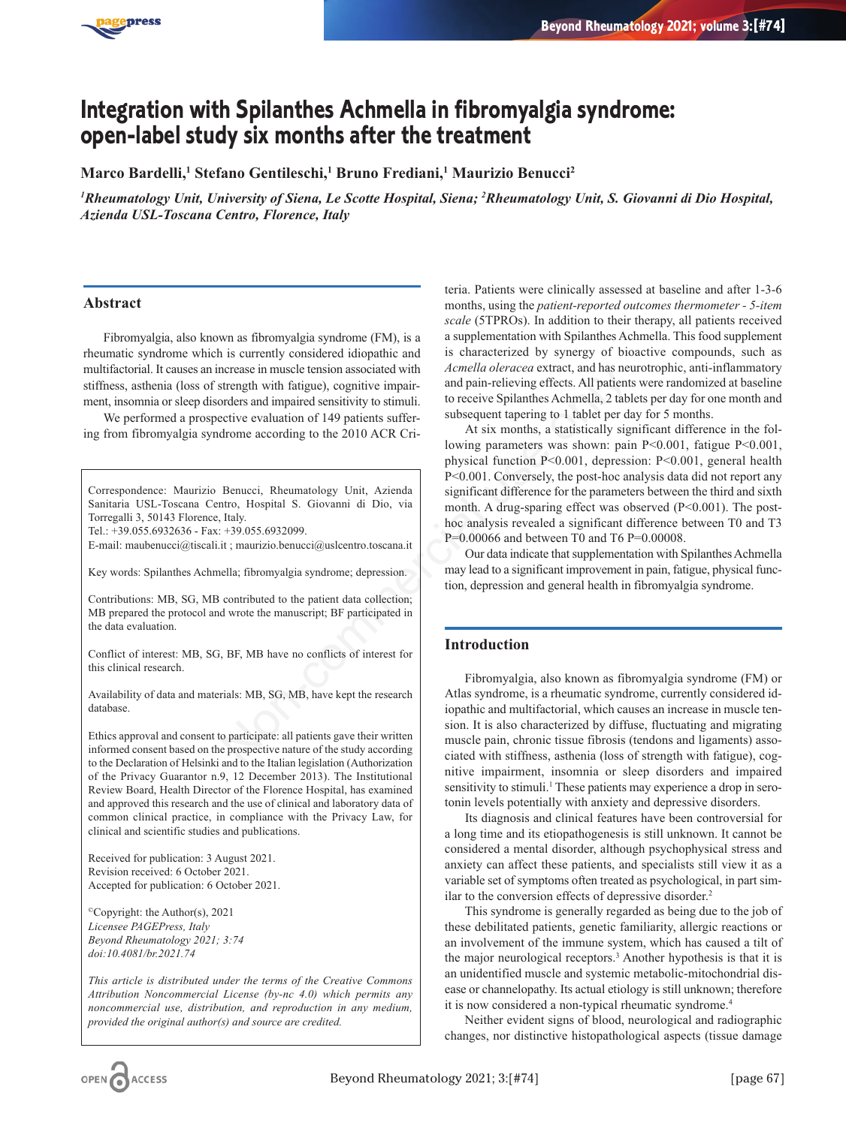

# **Integration with Spilanthes Achmella in fibromyalgia syndrome: open-label study six months after the treatment**

**Marco Bardelli,1 Stefano Gentileschi,1 Bruno Frediani,1 Maurizio Benucci2**

*1 Rheumatology Unit, University of Siena, Le Scotte Hospital, Siena; 2 Rheumatology Unit, S. Giovanni di Dio Hospital, Azienda USL-Toscana Centro, Florence, Italy*

## **Abstract**

Fibromyalgia, also known as fibromyalgia syndrome (FM), is a rheumatic syndrome which is currently considered idiopathic and multifactorial. It causes an increase in muscle tension associated with stiffness, asthenia (loss of strength with fatigue), cognitive impairment, insomnia or sleep disorders and impaired sensitivity to stimuli.

We performed a prospective evaluation of 149 patients suffering from fibromyalgia syndrome according to the 2010 ACR Cri-

Correspondence: Maurizio Benucci, Rheumatology Unit, Azienda Sanitaria USL-Toscana Centro, Hospital S. Giovanni di Dio, via Torregalli 3, 50143 Florence, Italy.

Tel.: +39.055.6932636 - Fax: +39.055.6932099.

E-mail: maubenucci@tiscali.it ; maurizio.benucci@uslcentro.toscana.it

Key words: Spilanthes Achmella; fibromyalgia syndrome; depression.

Contributions: MB, SG, MB contributed to the patient data collection; MB prepared the protocol and wrote the manuscript; BF participated in the data evaluation.

Conflict of interest: MB, SG, BF, MB have no conflicts of interest for this clinical research.

Availability of data and materials: MB, SG, MB, have kept the research database.

Ethics approval and consent to participate: all patients gave their written informed consent based on the prospective nature of the study according to the Declaration of Helsinki and to the Italian legislation (Authorization of the Privacy Guarantor n.9, 12 December 2013). The Institutional Review Board, Health Director of the Florence Hospital, has examined and approved this research and the use of clinical and laboratory data of common clinical practice, in compliance with the Privacy Law, for clinical and scientific studies and publications.

Received for publication: 3 August 2021. Revision received: 6 October 2021. Accepted for publication: 6 October 2021.

©Copyright: the Author(s), 2021 *Licensee PAGEPress, Italy Beyond Rheumatology 2021; 3:74 doi:10.4081/br.2021.74*

*This article is distributed under the terms of the Creative Commons Attribution Noncommercial License (by-nc 4.0) which permits any noncommercial use, distribution, and reproduction in any medium, provided the original author(s) and source are credited.*

teria. Patients were clinically assessed at baseline and after 1-3-6 months, using the *patient-reported outcomes thermometer - 5-item scale* (5TPROs). In addition to their therapy, all patients received a supplementation with Spilanthes Achmella. This food supplement is characterized by synergy of bioactive compounds, such as *Acmella oleracea* extract, and has neurotrophic, anti-inflammatory and pain-relieving effects. All patients were randomized at baseline to receive Spilanthes Achmella, 2 tablets per day for one month and subsequent tapering to 1 tablet per day for 5 months.

At six months, a statistically significant difference in the following parameters was shown: pain P<0.001, fatigue P<0.001, physical function P<0.001, depression: P<0.001, general health P<0.001. Conversely, the post-hoc analysis data did not report any significant difference for the parameters between the third and sixth month. A drug-sparing effect was observed (P<0.001). The posthoc analysis revealed a significant difference between T0 and T3 P=0.00066 and between T0 and T6 P=0.00008. normal difference for the particular difference of the strength with faiture (and has not the strength with a matter of the particular order is the particular order in the particular of 149 patients suffer-<br>
Subsequent tap

Our data indicate that supplementation with Spilanthes Achmella may lead to a significant improvement in pain, fatigue, physical function, depression and general health in fibromyalgia syndrome.

## **Introduction**

Fibromyalgia, also known as fibromyalgia syndrome (FM) or Atlas syndrome, is a rheumatic syndrome, currently considered idiopathic and multifactorial, which causes an increase in muscle tension. It is also characterized by diffuse, fluctuating and migrating muscle pain, chronic tissue fibrosis (tendons and ligaments) associated with stiffness, asthenia (loss of strength with fatigue), cognitive impairment, insomnia or sleep disorders and impaired sensitivity to stimuli.<sup>1</sup> These patients may experience a drop in serotonin levels potentially with anxiety and depressive disorders.

Its diagnosis and clinical features have been controversial for a long time and its etiopathogenesis is still unknown. It cannot be considered a mental disorder, although psychophysical stress and anxiety can affect these patients, and specialists still view it as a variable set of symptoms often treated as psychological, in part similar to the conversion effects of depressive disorder.<sup>2</sup>

This syndrome is generally regarded as being due to the job of these debilitated patients, genetic familiarity, allergic reactions or an involvement of the immune system, which has caused a tilt of the major neurological receptors.3 Another hypothesis is that it is an unidentified muscle and systemic metabolic-mitochondrial disease or channelopathy. Its actual etiology is still unknown; therefore it is now considered a non-typical rheumatic syndrome.<sup>4</sup>

Neither evident signs of blood, neurological and radiographic changes, nor distinctive histopathological aspects (tissue damage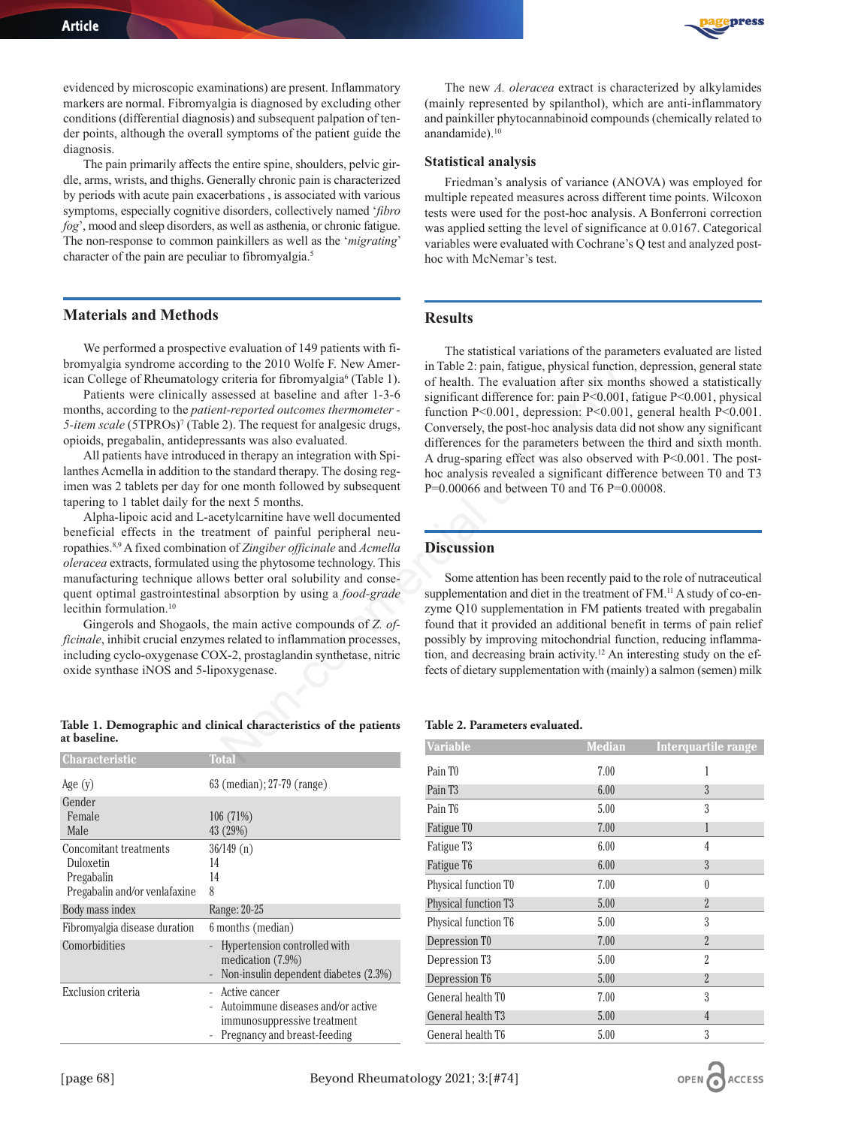evidenced by microscopic examinations) are present. Inflammatory markers are normal. Fibromyalgia is diagnosed by excluding other conditions (differential diagnosis) and subsequent palpation of tender points, although the overall symptoms of the patient guide the diagnosis.

The pain primarily affects the entire spine, shoulders, pelvic girdle, arms, wrists, and thighs. Generally chronic pain is characterized by periods with acute pain exacerbations , is associated with various symptoms, especially cognitive disorders, collectively named '*fibro fog*', mood and sleep disorders, as well as asthenia, or chronic fatigue. The non-response to common painkillers as well as the '*migrating*' character of the pain are peculiar to fibromyalgia.5

#### **Materials and Methods**

We performed a prospective evaluation of 149 patients with fibromyalgia syndrome according to the 2010 Wolfe F. New American College of Rheumatology criteria for fibromyalgia<sup>6</sup> (Table 1).

Patients were clinically assessed at baseline and after 1-3-6 months, according to the *patient-reported outcomes thermometer -* 5-*item scale* (5TPROs)<sup>7</sup> (Table 2). The request for analgesic drugs, opioids, pregabalin, antidepressants was also evaluated.

All patients have introduced in therapy an integration with Spilanthes Acmella in addition to the standard therapy. The dosing regimen was 2 tablets per day for one month followed by subsequent tapering to 1 tablet daily for the next 5 months.

Alpha-lipoic acid and L-acetylcarnitine have well documented beneficial effects in the treatment of painful peripheral neuropathies.8,9 A fixed combination of *Zingiber officinale* and *Acmella oleracea* extracts, formulated using the phytosome technology. This manufacturing technique allows better oral solubility and consequent optimal gastrointestinal absorption by using a *food-grade* lecithin formulation.10

Gingerols and Shogaols, the main active compounds of *Z. officinale*, inhibit crucial enzymes related to inflammation processes, including cyclo-oxygenase COX-2, prostaglandin synthetase, nitric oxide synthase iNOS and 5-lipoxygenase.

#### **Table 1. Demographic and clinical characteristics of the patients at baseline.**

| <b>Characteristic</b>         | <b>Total</b>                                               |  |
|-------------------------------|------------------------------------------------------------|--|
| Age $(y)$                     | 63 (median); 27-79 (range)                                 |  |
| Gender                        |                                                            |  |
| Female                        | 106 (71%)                                                  |  |
| Male                          | 43 (29%)                                                   |  |
| Concomitant treatments        | 36/149(n)                                                  |  |
| Duloxetin                     | 14                                                         |  |
| Pregabalin                    | 14                                                         |  |
| Pregabalin and/or venlafaxine | 8                                                          |  |
| Body mass index               | Range: 20-25                                               |  |
| Fibromyalgia disease duration | 6 months (median)                                          |  |
| Comorbidities                 | Hypertension controlled with                               |  |
|                               | medication $(7.9\%)$                                       |  |
|                               | Non-insulin dependent diabetes (2.3%)<br>$\qquad \qquad -$ |  |
| Exclusion criteria            | Active cancer<br>Autoimmune diseases and/or active         |  |
|                               | immunosuppressive treatment                                |  |
|                               | Pregnancy and breast-feeding                               |  |



The new *A. oleracea* extract is characterized by alkylamides (mainly represented by spilanthol), which are anti-inflammatory and painkiller phytocannabinoid compounds (chemically related to anandamide).<sup>10</sup>

#### **Statistical analysis**

Friedman's analysis of variance (ANOVA) was employed for multiple repeated measures across different time points. Wilcoxon tests were used for the post-hoc analysis. A Bonferroni correction was applied setting the level of significance at 0.0167. Categorical variables were evaluated with Cochrane's Q test and analyzed posthoc with McNemar's test.

## **Results**

The statistical variations of the parameters evaluated are listed in Table 2: pain, fatigue, physical function, depression, general state of health. The evaluation after six months showed a statistically significant difference for: pain P<0.001, fatigue P<0.001, physical function P<0.001, depression: P<0.001, general health P<0.001. Conversely, the post-hoc analysis data did not show any significant differences for the parameters between the third and sixth month. A drug-sparing effect was also observed with P<0.001. The posthoc analysis revealed a significant difference between T0 and T3 P=0.00066 and between T0 and T6 P=0.00008. go to the 2018 woman-<br>
in take 2: pain, taugue, physical nunctions<br>
or iterial for fibromyalgia<sup>6</sup> (Table 1) of health. The evaluation after six montropored *outcomes thermoreder* -<br> *interported outcomes thermorenter* -

#### **Discussion**

Some attention has been recently paid to the role of nutraceutical supplementation and diet in the treatment of FM.<sup>11</sup> A study of co-enzyme Q10 supplementation in FM patients treated with pregabalin found that it provided an additional benefit in terms of pain relief possibly by improving mitochondrial function, reducing inflammation, and decreasing brain activity.12 An interesting study on the effects of dietary supplementation with (mainly) a salmon (semen) milk

#### **Table 2. Parameters evaluated.**

| <b>Variable</b>           | <b>Median</b> | Interquartile range |
|---------------------------|---------------|---------------------|
| Pain T <sub>0</sub>       | 7.00          | 1                   |
| Pain T <sub>3</sub>       | 6.00          | $\overline{3}$      |
| Pain T6                   | 5.00          | 3                   |
| Fatigue T0                | 7.00          | 1                   |
| Fatigue T <sub>3</sub>    | 6.00          | 4                   |
| Fatigue T6                | 6.00          | 3                   |
| Physical function T0      | 7.00          | 0                   |
| Physical function T3      | 5.00          | $\overline{2}$      |
| Physical function T6      | 5.00          | 3                   |
| Depression T0             | 7.00          | $\overline{2}$      |
| Depression T <sub>3</sub> | 5.00          | $\overline{2}$      |
| Depression T6             | 5.00          | $\overline{2}$      |
| General health T0         | 7.00          | 3                   |
| General health T3         | 5.00          | 4                   |
| General health T6         | 5.00          | 3                   |

OPEN CACCESS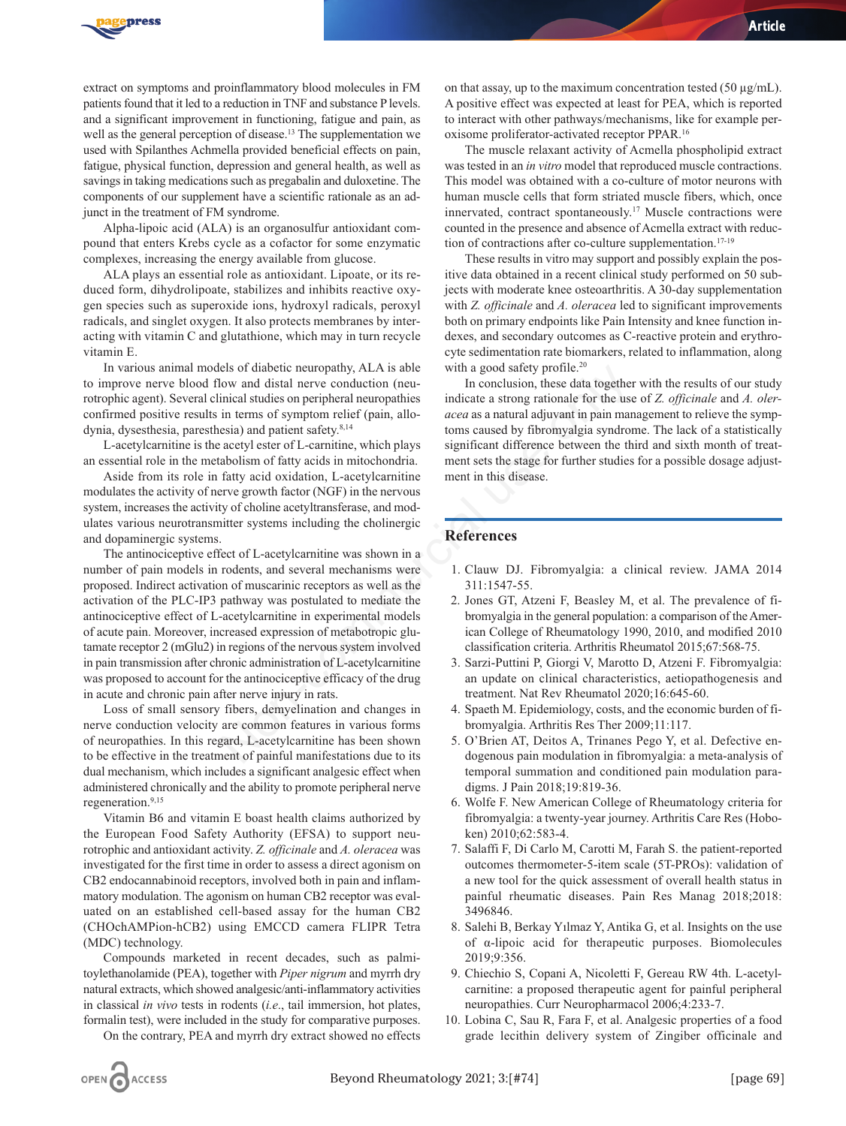

extract on symptoms and proinflammatory blood molecules in FM patients found that it led to a reduction in TNF and substance P levels. and a significant improvement in functioning, fatigue and pain, as well as the general perception of disease.<sup>13</sup> The supplementation we used with Spilanthes Achmella provided beneficial effects on pain, fatigue, physical function, depression and general health, as well as savings in taking medications such as pregabalin and duloxetine. The components of our supplement have a scientific rationale as an adjunct in the treatment of FM syndrome.

Alpha-lipoic acid (ALA) is an organosulfur antioxidant compound that enters Krebs cycle as a cofactor for some enzymatic complexes, increasing the energy available from glucose.

ALA plays an essential role as antioxidant. Lipoate, or its reduced form, dihydrolipoate, stabilizes and inhibits reactive oxygen species such as superoxide ions, hydroxyl radicals, peroxyl radicals, and singlet oxygen. It also protects membranes by interacting with vitamin C and glutathione, which may in turn recycle vitamin E.

In various animal models of diabetic neuropathy, ALA is able to improve nerve blood flow and distal nerve conduction (neurotrophic agent). Several clinical studies on peripheral neuropathies confirmed positive results in terms of symptom relief (pain, allodynia, dysesthesia, paresthesia) and patient safety.8,14

L-acetylcarnitine is the acetyl ester of L-carnitine, which plays an essential role in the metabolism of fatty acids in mitochondria.

Aside from its role in fatty acid oxidation, L-acetylcarnitine modulates the activity of nerve growth factor (NGF) in the nervous system, increases the activity of choline acetyltransferase, and modulates various neurotransmitter systems including the cholinergic and dopaminergic systems.

The antinociceptive effect of L-acetylcarnitine was shown in a number of pain models in rodents, and several mechanisms were proposed. Indirect activation of muscarinic receptors as well as the activation of the PLC-IP3 pathway was postulated to mediate the antinociceptive effect of L-acetylcarnitine in experimental models of acute pain. Moreover, increased expression of metabotropic glutamate receptor 2 (mGlu2) in regions of the nervous system involved in pain transmission after chronic administration of L-acetylcarnitine was proposed to account for the antinociceptive efficacy of the drug in acute and chronic pain after nerve injury in rats. Els of diabette neuropathy, ALA is able with a good sately profile.<sup>20</sup><br>solv and distal nerve conduction (neu-<br>inconduction, these data togethe<br>inical studies on peripheral neuropathies indicate a strong rationale for the

Loss of small sensory fibers, demyelination and changes in nerve conduction velocity are common features in various forms of neuropathies. In this regard, L-acetylcarnitine has been shown to be effective in the treatment of painful manifestations due to its dual mechanism, which includes a significant analgesic effect when administered chronically and the ability to promote peripheral nerve regeneration.<sup>9,15</sup>

Vitamin B6 and vitamin E boast health claims authorized by the European Food Safety Authority (EFSA) to support neurotrophic and antioxidant activity. *Z. officinale* and *A. oleracea* was investigated for the first time in order to assess a direct agonism on CB2 endocannabinoid receptors, involved both in pain and inflammatory modulation. The agonism on human CB2 receptor was evaluated on an established cell-based assay for the human CB2 (CHOchAMPion-hCB2) using EMCCD camera FLIPR Tetra (MDC) technology.

Compounds marketed in recent decades, such as palmitoylethanolamide (PEA), together with *Piper nigrum* and myrrh dry natural extracts, which showed analgesic/anti-inflammatory activities in classical *in vivo* tests in rodents (*i.e*., tail immersion, hot plates, formalin test), were included in the study for comparative purposes.

On the contrary, PEA and myrrh dry extract showed no effects

on that assay, up to the maximum concentration tested  $(50 \mu g/mL)$ . A positive effect was expected at least for PEA, which is reported to interact with other pathways/mechanisms, like for example peroxisome proliferator-activated receptor PPAR.16

The muscle relaxant activity of Acmella phospholipid extract was tested in an *in vitro* model that reproduced muscle contractions. This model was obtained with a co-culture of motor neurons with human muscle cells that form striated muscle fibers, which, once innervated, contract spontaneously.17 Muscle contractions were counted in the presence and absence of Acmella extract with reduction of contractions after co-culture supplementation.17-19

These results in vitro may support and possibly explain the positive data obtained in a recent clinical study performed on 50 subjects with moderate knee osteoarthritis. A 30-day supplementation with *Z. officinale* and *A. oleracea* led to significant improvements both on primary endpoints like Pain Intensity and knee function indexes, and secondary outcomes as C-reactive protein and erythrocyte sedimentation rate biomarkers, related to inflammation, along with a good safety profile.<sup>20</sup>

In conclusion, these data together with the results of our study indicate a strong rationale for the use of *Z. officinale* and *A. oleracea* as a natural adjuvant in pain management to relieve the symptoms caused by fibromyalgia syndrome. The lack of a statistically significant difference between the third and sixth month of treatment sets the stage for further studies for a possible dosage adjustment in this disease.

# **References**

- 1. Clauw DJ. Fibromyalgia: a clinical review. JAMA 2014 311:1547-55.
- 2. Jones GT, Atzeni F, Beasley M, et al. The prevalence of fibromyalgia in the general population: a comparison of the American College of Rheumatology 1990, 2010, and modified 2010 classification criteria. Arthritis Rheumatol 2015;67:568-75.
- 3. Sarzi-Puttini P, Giorgi V, Marotto D, Atzeni F. Fibromyalgia: an update on clinical characteristics, aetiopathogenesis and treatment. Nat Rev Rheumatol 2020;16:645-60.
- 4. Spaeth M. Epidemiology, costs, and the economic burden of fibromyalgia. Arthritis Res Ther 2009;11:117.
- 5. O'Brien AT, Deitos A, Trinanes Pego Y, et al. Defective endogenous pain modulation in fibromyalgia: a meta-analysis of temporal summation and conditioned pain modulation paradigms. J Pain 2018;19:819-36.
- 6. Wolfe F. New American College of Rheumatology criteria for fibromyalgia: a twenty-year journey. Arthritis Care Res (Hoboken) 2010;62:583-4.
- 7. Salaffi F, Di Carlo M, Carotti M, Farah S. the patient-reported outcomes thermometer-5-item scale (5T-PROs): validation of a new tool for the quick assessment of overall health status in painful rheumatic diseases. Pain Res Manag 2018;2018: 3496846.
- 8. Salehi B, Berkay Yılmaz Y, Antika G, et al. Insights on the use of α-lipoic acid for therapeutic purposes. Biomolecules 2019;9:356.
- 9. Chiechio S, Copani A, Nicoletti F, Gereau RW 4th. L-acetylcarnitine: a proposed therapeutic agent for painful peripheral neuropathies. Curr Neuropharmacol 2006;4:233-7.
- 10. Lobina C, Sau R, Fara F, et al. Analgesic properties of a food grade lecithin delivery system of Zingiber officinale and